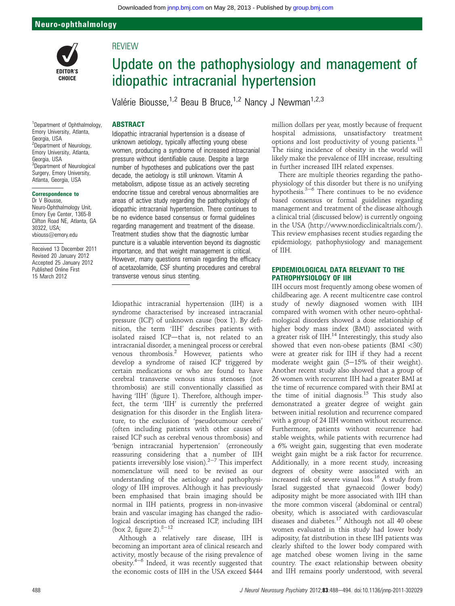#### Neuro-ophthalmology



### **REVIEW**

# Update on the pathophysiology and management of idiopathic intracranial hypertension

Valérie Biousse,<sup>1,2</sup> Beau B Bruce,<sup>1,2</sup> Nancy J Newman<sup>1,2,3</sup>

#### **ABSTRACT**

<sup>1</sup>Department of Ophthalmology, Emory University, Atlanta, Georgia, USA <sup>2</sup>Department of Neurology, Emory University, Atlanta, Georgia, USA 3 Department of Neurological Surgery, Emory University, Atlanta, Georgia, USA

#### Correspondence to

Dr V Biousse, Neuro-Ophthalmology Unit, Emory Eye Center, 1365-B Clifton Road NE, Atlanta, GA 30322, USA; vbiouss@emory.edu

Received 13 December 2011 Revised 20 January 2012 Accepted 25 January 2012 Published Online First 15 March 2012

Idiopathic intracranial hypertension is a disease of unknown aetiology, typically affecting young obese women, producing a syndrome of increased intracranial pressure without identifiable cause. Despite a large number of hypotheses and publications over the past decade, the aetiology is still unknown. Vitamin A metabolism, adipose tissue as an actively secreting endocrine tissue and cerebral venous abnormalities are areas of active study regarding the pathophysiology of idiopathic intracranial hypertension. There continues to be no evidence based consensus or formal guidelines regarding management and treatment of the disease. Treatment studies show that the diagnostic lumbar puncture is a valuable intervention beyond its diagnostic importance, and that weight management is critical. However, many questions remain regarding the efficacy of acetazolamide, CSF shunting procedures and cerebral transverse venous sinus stenting.

Idiopathic intracranial hypertension (IIH) is a syndrome characterised by increased intracranial pressure (ICP) of unknown cause (box 1). By definition, the term 'IIH' describes patients with isolated raised ICP-that is, not related to an intracranial disorder, a meningeal process or cerebral venous thrombosis.<sup>2</sup> However, patients who develop a syndrome of raised ICP triggered by certain medications or who are found to have cerebral transverse venous sinus stenoses (not thrombosis) are still conventionally classified as having 'IIH' (figure 1). Therefore, although imperfect, the term 'IIH' is currently the preferred designation for this disorder in the English literature, to the exclusion of 'pseudotumour cerebri' (often including patients with other causes of raised ICP such as cerebral venous thrombosis) and 'benign intracranial hypertension' (erroneously reassuring considering that a number of IIH patients irreversibly lose vision). $2-7$  This imperfect nomenclature will need to be revised as our understanding of the aetiology and pathophysiology of IIH improves. Although it has previously been emphasised that brain imaging should be normal in IIH patients, progress in non-invasive brain and vascular imaging has changed the radiological description of increased ICP, including IIH (box 2, figure 2). $8-12$ 

Although a relatively rare disease, IIH is becoming an important area of clinical research and activity, mostly because of the rising prevalence of obesity. $4-6$  Indeed, it was recently suggested that the economic costs of IIH in the USA exceed \$444

million dollars per year, mostly because of frequent hospital admissions, unsatisfactory treatment options and lost productivity of young patients.<sup>13</sup> The rising incidence of obesity in the world will likely make the prevalence of IIH increase, resulting in further increased IIH related expenses.

There are multiple theories regarding the pathophysiology of this disorder but there is no unifying hypothesis. $3-6$  There continues to be no evidence based consensus or formal guidelines regarding management and treatment of the disease although a clinical trial (discussed below) is currently ongoing in the USA (http://www.nordicclinicaltrials.com/). This review emphasises recent studies regarding the epidemiology, pathophysiology and management of IIH.

#### EPIDEMIOLOGICAL DATA RELEVANT TO THE PATHOPHYSIOLOGY OF IIH

IIH occurs most frequently among obese women of childbearing age. A recent multicentre case control study of newly diagnosed women with IIH compared with women with other neuro-ophthalmological disorders showed a dose relationship of higher body mass index (BMI) associated with a greater risk of  $I,14$  Interestingly, this study also showed that even non-obese patients (BMI  $\langle 30 \rangle$ were at greater risk for IIH if they had a recent moderate weight gain  $(5-15)$ % of their weight). Another recent study also showed that a group of 26 women with recurrent IIH had a greater BMI at the time of recurrence compared with their BMI at the time of initial diagnosis.<sup>15</sup> This study also demonstrated a greater degree of weight gain between initial resolution and recurrence compared with a group of 24 IIH women without recurrence. Furthermore, patients without recurrence had stable weights, while patients with recurrence had a 6% weight gain, suggesting that even moderate weight gain might be a risk factor for recurrence. Additionally, in a more recent study, increasing degrees of obesity were associated with an increased risk of severe visual loss.<sup>16</sup> A study from Israel suggested that gynaecoid (lower body) adiposity might be more associated with IIH than the more common visceral (abdominal or central) obesity, which is associated with cardiovascular diseases and diabetes.<sup>17</sup> Although not all 40 obese women evaluated in this study had lower body adiposity, fat distribution in these IIH patients was clearly shifted to the lower body compared with age matched obese women living in the same country. The exact relationship between obesity and IIH remains poorly understood, with several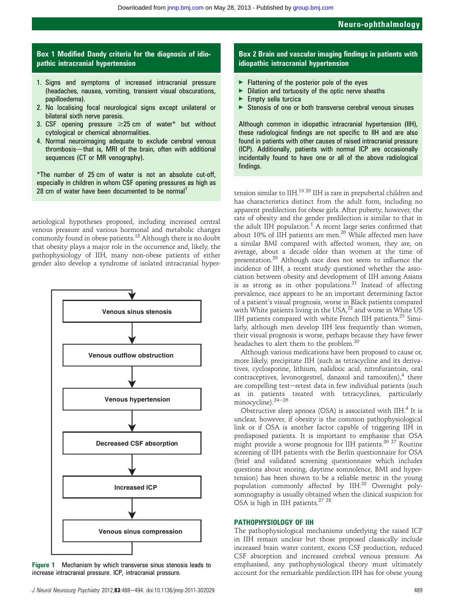#### Box 1 Modified Dandy criteria for the diagnosis of idiopathic intracranial hypertension

- 1. Signs and symptoms of increased intracranial pressure (headaches, nausea, vomiting, transient visual obscurations, papilloedema).
- 2. No localising focal neurological signs except unilateral or bilateral sixth nerve paresis.
- 3. CSF opening pressure  $\geq$ 25 cm of water\* but without cytological or chemical abnormalities.
- 4. Normal neuroimaging adequate to exclude cerebral venous thrombosis—that is, MRI of the brain, often with additional sequences (CT or MR venography).

\*The number of 25 cm of water is not an absolute cut-off, especially in children in whom CSF opening pressures as high as 28 cm of water have been documented to be normal<sup>1</sup>

aetiological hypotheses proposed, including increased central venous pressure and various hormonal and metabolic changes commonly found in obese patients.<sup>18</sup> Although there is no doubt that obesity plays a major role in the occurrence and, likely, the pathophysiology of IIH, many non-obese patients of either gender also develop a syndrome of isolated intracranial hyper-



Figure 1 Mechanism by which transverse sinus stenosis leads to increase intracranial pressure. ICP, intracranial pressure.

#### Box 2 Brain and vascular imaging findings in patients with idiopathic intracranial hypertension

- $\blacktriangleright$  Flattening of the posterior pole of the eyes
- $\triangleright$  Dilation and tortuosity of the optic nerve sheaths
- $\blacktriangleright$  Empty sella turcica
- Stenosis of one or both transverse cerebral venous sinuses

Although common in idiopathic intracranial hypertension (IIH), these radiological findings are not specific to IIH and are also found in patients with other causes of raised intracranial pressure (ICP). Additionally, patients with normal ICP are occasionally incidentally found to have one or all of the above radiological findings.

tension similar to IIH.<sup>19 20</sup> IIH is rare in prepubertal children and has characteristics distinct from the adult form, including no apparent predilection for obese girls. After puberty, however, the rate of obesity and the gender predilection is similar to that in the adult IIH population.<sup>1</sup> A recent large series confirmed that about 10% of IIH patients are men.<sup>20</sup> While affected men have a similar BMI compared with affected women, they are, on average, about a decade older than women at the time of presentation.<sup>20</sup> Although race does not seem to influence the incidence of IIH, a recent study questioned whether the association between obesity and development of IIH among Asians is as strong as in other populations.<sup>21</sup> Instead of affecting prevalence, race appears to be an important determining factor of a patient's visual prognosis, worse in Black patients compared with White patients living in the USA,<sup>22</sup> and worse in White US IIH patients compared with white French IIH patients.<sup>23</sup> Similarly, although men develop IIH less frequently than women, their visual prognosis is worse, perhaps because they have fewer headaches to alert them to the problem.<sup>20</sup>

Although various medications have been proposed to cause or, more likely, precipitate IIH (such as tetracycline and its derivatives, cyclosporine, lithium, nalidixic acid, nitrofurantoin, oral contraceptives, levonorgestrel, danaxol and tamoxifen), $4$  there are compelling test-retest data in few individual patients (such as in patients treated with tetracyclines, particularly minocycline).<sup>24-26</sup>

Obstructive sleep apnoea (OSA) is associated with  $IIH<sup>4</sup>$  It is unclear, however, if obesity is the common pathophysiological link or if OSA is another factor capable of triggering IIH in predisposed patients. It is important to emphasise that OSA might provide a worse prognosis for IIH patients.20 27 Routine screening of IIH patients with the Berlin questionnaire for OSA (brief and validated screening questionnaire which includes questions about snoring, daytime somnolence, BMI and hypertension) has been shown to be a reliable metric in the young population commonly affected by IIH.28 Overnight polysomnography is usually obtained when the clinical suspicion for OSA is high in IIH patients.27 28

#### PATHOPHYSIOLOGY OF IIH

The pathophysiological mechanisms underlying the raised ICP in IIH remain unclear but those proposed classically include increased brain water content, excess CSF production, reduced CSF absorption and increased cerebral venous pressure. As emphasised, any pathophysiological theory must ultimately account for the remarkable predilection IIH has for obese young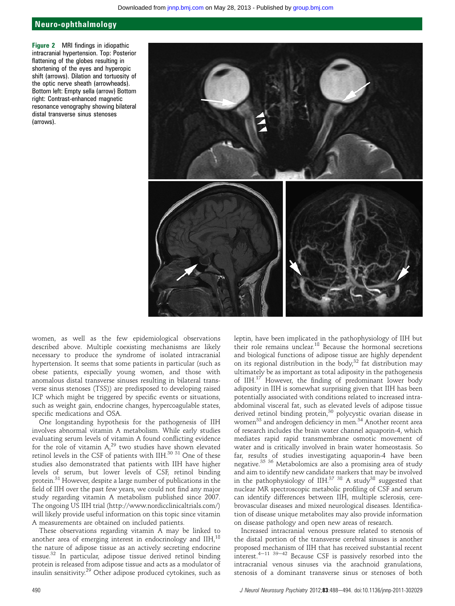#### Neuro-ophthalmology

Figure 2 MRI findings in idiopathic intracranial hypertension. Top: Posterior flattening of the globes resulting in shortening of the eyes and hyperopic shift (arrows). Dilation and tortuosity of the optic nerve sheath (arrowheads). Bottom left: Empty sella (arrow) Bottom right: Contrast-enhanced magnetic resonance venography showing bilateral distal transverse sinus stenoses (arrows).



women, as well as the few epidemiological observations described above. Multiple coexisting mechanisms are likely necessary to produce the syndrome of isolated intracranial hypertension. It seems that some patients in particular (such as obese patients, especially young women, and those with anomalous distal transverse sinuses resulting in bilateral transverse sinus stenoses (TSS)) are predisposed to developing raised ICP which might be triggered by specific events or situations, such as weight gain, endocrine changes, hypercoagulable states, specific medications and OSA.

One longstanding hypothesis for the pathogenesis of IIH involves abnormal vitamin A metabolism. While early studies evaluating serum levels of vitamin A found conflicting evidence for the role of vitamin  $A<sub>1</sub><sup>29</sup>$  two studies have shown elevated retinol levels in the CSF of patients with IIH. $^{\rm 30}$   $^{\rm 31}$  One of these studies also demonstrated that patients with IIH have higher levels of serum, but lower levels of CSF, retinol binding protein.<sup>31</sup> However, despite a large number of publications in the field of IIH over the past few years, we could not find any major study regarding vitamin A metabolism published since 2007. The ongoing US IIH trial (http://www.nordicclinicaltrials.com/) will likely provide useful information on this topic since vitamin A measurements are obtained on included patients.

These observations regarding vitamin A may be linked to another area of emerging interest in endocrinology and  $I H$ ,<sup>18</sup> the nature of adipose tissue as an actively secreting endocrine tissue.<sup>32</sup> In particular, adipose tissue derived retinol binding protein is released from adipose tissue and acts as a modulator of insulin sensitivity.29 Other adipose produced cytokines, such as

leptin, have been implicated in the pathophysiology of IIH but their role remains unclear.<sup>18</sup> Because the hormonal secretions and biological functions of adipose tissue are highly dependent on its regional distribution in the body, $32$  fat distribution may ultimately be as important as total adiposity in the pathogenesis of IIH.<sup>17</sup> However, the finding of predominant lower body adiposity in IIH is somewhat surprising given that IIH has been potentially associated with conditions related to increased intraabdominal visceral fat, such as elevated levels of adipose tissue derived retinol binding protein,<sup>30</sup> polycystic ovarian disease in women<sup>33</sup> and androgen deficiency in men.<sup>34</sup> Another recent area of research includes the brain water channel aquaporin-4, which mediates rapid rapid transmembrane osmotic movement of water and is critically involved in brain water homeostasis. So far, results of studies investigating aquaporin-4 have been negative.35 36 Metabolomics are also a promising area of study and aim to identify new candidate markers that may be involved in the pathophysiology of IIH. $^{37}$   $^{38}$  A study<sup>38</sup> suggested that nuclear MR spectroscopic metabolic profiling of CSF and serum can identify differences between IIH, multiple sclerosis, cerebrovascular diseases and mixed neurological diseases. Identification of disease unique metabolites may also provide information on disease pathology and open new areas of research.

Increased intracranial venous pressure related to stenosis of the distal portion of the transverse cerebral sinuses is another proposed mechanism of IIH that has received substantial recent interest.<sup>4–11 39–42</sup> Because CSF is passively resorbed into the intracranial venous sinuses via the arachnoid granulations, stenosis of a dominant transverse sinus or stenoses of both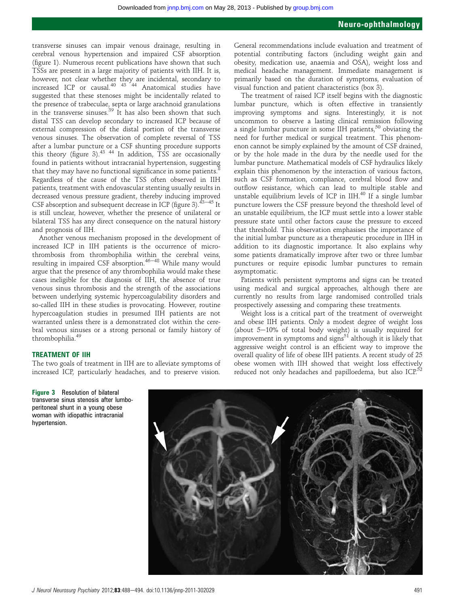transverse sinuses can impair venous drainage, resulting in cerebral venous hypertension and impaired CSF absorption (figure 1). Numerous recent publications have shown that such TSSs are present in a large majority of patients with IIH. It is, however, not clear whether they are incidental, secondary to increased ICP or causal.<sup>40 43 44</sup> Anatomical studies have suggested that these stenoses might be incidentally related to the presence of trabeculae, septa or large arachnoid granulations in the transverse sinuses. $39$  It has also been shown that such distal TSS can develop secondary to increased ICP because of external compression of the distal portion of the transverse venous sinuses. The observation of complete reversal of TSS after a lumbar puncture or a CSF shunting procedure supports this theory (figure 3).<sup>43 44</sup> In addition,  $\overrightarrow{T}$ SS are occasionally found in patients without intracranial hypertension, suggesting that they may have no functional significance in some patients.<sup>8</sup> Regardless of the cause of the TSS often observed in IIH patients, treatment with endovascular stenting usually results in decreased venous pressure gradient, thereby inducing improved CSF absorption and subsequent decrease in ICP (figure 3). $43-45$  It is still unclear, however, whether the presence of unilateral or bilateral TSS has any direct consequence on the natural history and prognosis of IIH.

Another venous mechanism proposed in the development of increased ICP in IIH patients is the occurrence of microthrombosis from thrombophilia within the cerebral veins,<br>resulting in impaired CSF absorption.<sup>46—48</sup> While many would argue that the presence of any thrombophilia would make these cases ineligible for the diagnosis of IIH, the absence of true venous sinus thrombosis and the strength of the associations between underlying systemic hypercoagulability disorders and so-called IIH in these studies is provocating. However, routine hypercoagulation studies in presumed IIH patients are not warranted unless there is a demonstrated clot within the cerebral venous sinuses or a strong personal or family history of thrombophilia.<sup>49</sup>

#### TREATMENT OF IIH

The two goals of treatment in IIH are to alleviate symptoms of increased ICP, particularly headaches, and to preserve vision.

General recommendations include evaluation and treatment of potential contributing factors (including weight gain and obesity, medication use, anaemia and OSA), weight loss and medical headache management. Immediate management is primarily based on the duration of symptoms, evaluation of visual function and patient characteristics (box 3).

The treatment of raised ICP itself begins with the diagnostic lumbar puncture, which is often effective in transiently improving symptoms and signs. Interestingly, it is not uncommon to observe a lasting clinical remission following a single lumbar puncture in some IIH patients, $50$  obviating the need for further medical or surgical treatment. This phenomenon cannot be simply explained by the amount of CSF drained, or by the hole made in the dura by the needle used for the lumbar puncture. Mathematical models of CSF hydraulics likely explain this phenomenon by the interaction of various factors, such as CSF formation, compliance, cerebral blood flow and outflow resistance, which can lead to multiple stable and unstable equilibrium levels of ICP in  $I H<sup>40</sup>$  If a single lumbar puncture lowers the CSF pressure beyond the threshold level of an unstable equilibrium, the ICP must settle into a lower stable pressure state until other factors cause the pressure to exceed that threshold. This observation emphasises the importance of the initial lumbar puncture as a therapeutic procedure in IIH in addition to its diagnostic importance. It also explains why some patients dramatically improve after two or three lumbar punctures or require episodic lumbar punctures to remain asymptomatic.

Patients with persistent symptoms and signs can be treated using medical and surgical approaches, although there are currently no results from large randomised controlled trials prospectively assessing and comparing these treatments.

Weight loss is a critical part of the treatment of overweight and obese IIH patients. Only a modest degree of weight loss (about  $5-10\%$  of total body weight) is usually required for improvement in symptoms and signs $^{51}$  although it is likely that aggressive weight control is an efficient way to improve the overall quality of life of obese IIH patients. A recent study of 25 obese women with IIH showed that weight loss effectively reduced not only headaches and papilloedema, but also ICP.<sup>52</sup>



Figure 3 Resolution of bilateral transverse sinus stenosis after lumboperitoneal shunt in a young obese woman with idiopathic intracranial hypertension.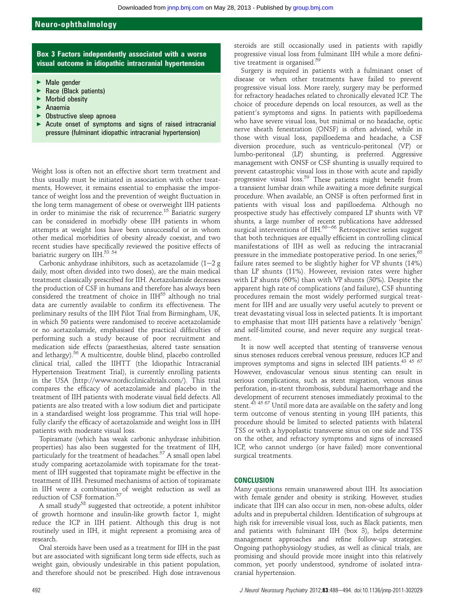#### Box 3 Factors independently associated with a worse visual outcome in idiopathic intracranial hypertension

- ▶ Male gender
- Race (Black patients)
- < Morbid obesity
- < Anaemia
- Obstructive sleep apnoea
- Acute onset of symptoms and signs of raised intracranial pressure (fulminant idiopathic intracranial hypertension)

Weight loss is often not an effective short term treatment and thus usually must be initiated in association with other treatments, However, it remains essential to emphasise the importance of weight loss and the prevention of weight fluctuation in the long term management of obese or overweight IIH patients in order to minimise the risk of recurrence.<sup>15</sup> Bariatric surgery can be considered in morbidly obese IIH patients in whom attempts at weight loss have been unsuccessful or in whom other medical morbidities of obesity already coexist, and two recent studies have specifically reviewed the positive effects of bariatric surgery on IIH.<sup>53</sup>  $54$ 

Carbonic anhydrase inhibitors, such as acetazolamide  $(1-2)$ g daily, most often divided into two doses), are the main medical treatment classically prescribed for IIH. Acetazolamide decreases the production of CSF in humans and therefore has always been considered the treatment of choice in IIH<sup>55</sup> although no trial data are currently available to confirm its effectiveness. The preliminary results of the IIH Pilot Trial from Birmingham, UK, in which 50 patients were randomised to receive acetazolamide or no acetazolamide, emphasised the practical difficulties of performing such a study because of poor recruitment and medication side effects (paraesthesias, altered taste sensation and lethargy).<sup>56</sup> A multicentre, double blind, placebo controlled clinical trial, called the IIHTT (the Idiopathic Intracranial Hypertension Treatment Trial), is currently enrolling patients in the USA (http://www.nordicclinicaltrials.com/). This trial compares the efficacy of acetazolamide and placebo in the treatment of IIH patients with moderate visual field defects. All patients are also treated with a low sodium diet and participate in a standardised weight loss programme. This trial will hopefully clarify the efficacy of acetazolamide and weight loss in IIH patients with moderate visual loss.

Topiramate (which has weak carbonic anhydrase inhibition properties) has also been suggested for the treatment of IIH, particularly for the treatment of headaches.<sup>57</sup> A small open label study comparing acetazolamide with topiramate for the treatment of IIH suggested that topiramate might be effective in the treatment of IIH. Presumed mechanisms of action of topiramate in IIH were a combination of weight reduction as well as reduction of CSF formation.<sup>5</sup>

A small study<sup>58</sup> suggested that octreotide, a potent inhibitor of growth hormone and insulin-like growth factor 1, might reduce the ICP in IIH patient. Although this drug is not routinely used in IIH, it might represent a promising area of research.

Oral steroids have been used as a treatment for IIH in the past but are associated with significant long term side effects, such as weight gain, obviously undesirable in this patient population, and therefore should not be prescribed. High dose intravenous steroids are still occasionally used in patients with rapidly progressive visual loss from fulminant IIH while a more definitive treatment is organised.<sup>59</sup>

Surgery is required in patients with a fulminant onset of disease or when other treatments have failed to prevent progressive visual loss. More rarely, surgery may be performed for refractory headaches related to chronically elevated ICP. The choice of procedure depends on local resources, as well as the patient's symptoms and signs. In patients with papilloedema who have severe visual loss, but minimal or no headache, optic nerve sheath fenestration (ONSF) is often advised, while in those with visual loss, papilloedema and headache, a CSF diversion procedure, such as ventriculo-peritoneal (VP) or lumbo-peritoneal (LP) shunting, is preferred. Aggressive management with ONSF or CSF shunting is usually required to prevent catastrophic visual loss in those with acute and rapidly progressive visual loss.<sup>59</sup> These patients might benefit from a transient lumbar drain while awaiting a more definite surgical procedure. When available, an ONSF is often performed first in patients with visual loss and papilloedema. Although no prospective study has effectively compared LP shunts with VP shunts, a large number of recent publications have addressed surgical interventions of  $IIH$ .<sup>60–66</sup> Retrospective series suggest that both techniques are equally efficient in controlling clinical manifestations of IIH as well as reducing the intracranial pressure in the immediate postoperative period. In one series, <sup>65</sup> failure rates seemed to be slightly higher for VP shunts (14%) than LP shunts (11%). However, revision rates were higher with LP shunts (60%) than with VP shunts (30%). Despite the apparent high rate of complications (and failure), CSF shunting procedures remain the most widely performed surgical treatment for IIH and are usually very useful acutely to prevent or treat devastating visual loss in selected patients. It is important to emphasise that most IIH patients have a relatively 'benign' and self-limited course, and never require any surgical treatment.

It is now well accepted that stenting of transverse venous sinus stenoses reduces cerebral venous pressure, reduces ICP and improves symptoms and signs in selected IIH patients.<sup>43</sup> <sup>45</sup> <sup>67</sup> However, endovascular venous sinus stenting can result in serious complications, such as stent migration, venous sinus perforation, in-stent thrombosis, subdural haemorrhage and the development of recurrent stenoses immediately proximal to the stent.<sup>43</sup> <sup>45</sup> <sup>67</sup> Until more data are available on the safety and long term outcome of venous stenting in young IIH patients, this procedure should be limited to selected patients with bilateral TSS or with a hypoplastic transverse sinus on one side and TSS on the other, and refractory symptoms and signs of increased ICP, who cannot undergo (or have failed) more conventional surgical treatments.

#### **CONCLUSION**

Many questions remain unanswered about IIH. Its association with female gender and obesity is striking. However, studies indicate that IIH can also occur in men, non-obese adults, older adults and in prepubertal children. Identification of subgroups at high risk for irreversible visual loss, such as Black patients, men and patients with fulminant IIH (box 3), helps determine management approaches and refine follow-up strategies. Ongoing pathophysiology studies, as well as clinical trials, are promising and should provide more insight into this relatively common, yet poorly understood, syndrome of isolated intracranial hypertension.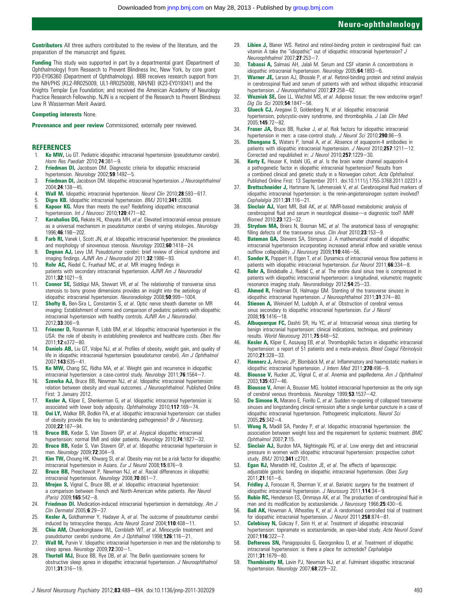Contributors All three authors contributed to the review of the literature, and the preparation of the manuscript and figures.

**Funding** This study was supported in part by a departmental grant (Department of Ophthalmology) from Research to Prevent Blindness Inc, New York, by core grant P30-EY06360 (Department of Ophthalmology). BBB receives research support from the NIH/PHS (KL2-RR025009, UL1-RR025008), NIH/NEI (K23-EY019341) and the Knights Templar Eye Foundation; and received the American Academy of Neurology Practice Research Fellowship. NJN is a recipient of the Research to Prevent Blindness Lew R Wasserman Merit Award.

#### Competing interests None.

Provenance and peer review Commissioned; externally peer reviewed.

#### **REFERENCES**

- 1. Ko MW, Liu GT. Pediatric idiopathic intracranial hypertension (pseudotumor cerebri). Horm Res Paediatr  $2010:74:381-9$ .
- 2. Friedman DI, Jacobson DM. Diagnostic criteria for idiopathic intracranial hypertension. Neurology 2002;59:1492-5.
- 3. Friedman DI, Jacobson DM. Idiopathic intracranial hypertension. J Neuroophthalmol  $2004:24:138-45$
- 4. Wall M. Idiopathic intracranial hypertension. Neurol Clin 2010;28:593-617.<br>5. Digre KB. Idiopathic intracranial hypertension. BMJ 2010:341:c2836.
- Digre KB. Idiopathic intracranial hypertension. BMJ 2010;341:c2836. 6. Kapoor KG. More than meets the eye? Redefining idiopathic intracranial
- hypertension. Int J Neurosci 2010;120:471-82. 7. Karahalios DG, Rekate HL, Khayata MH, et al. Elevated intracranial venous pressure
- as a universal mechanism in pseudotumor cerebri of varying etiologies. Neurology 1996;46:198-202.
- 8. **Farb RI,** Vanek I, Scott JN, et al. Idiopathic intracranial hypertension: the prevalence and morphology of sinovenous stenosis. Neurology  $2003;60:1418-24$ .
- 9. **Degnan AJ, Levy LM. Pseudotumor cerebri: brief review of clinical syndrome and** imaging findings. AJNR Am J Neuroradiol 2011;32:1986-93. 10. **Rohr AC, Riedel C, Fruehauf MC, et al. MR imaging findings in**
- patients with secondary intracranial hypertension. AJNR Am J Neuroradiol  $2011:32:1021-9$
- 11. **Connor SE,** Siddiqui MA, Stewart VR, et al. The relationship of transverse sinus stenosis to bony groove dimensions provides an insight into the aetiology of idiopathic intracranial hypertension. Neuroradiology 2008;50:999-1004.
- 12. **Shofty B,** Ben-Sira L, Constantini S, et al. Optic nerve sheath diameter on MR imaging: Establishment of norms and comparison of pediatric patients with idiopathic intracranial hypertension with healthy controls. AJNR Am J Neuroradiol.  $2012;$ 33:366-9.
- 13. Friesner D, Rosenman R, Lobb BM, et al. Idiopathic intracranial hypertension in the USA: the role of obesity in establishing prevalence and healthcare costs. Obes Rev 2011:12:e372-80.
- 14. Daniels AB, Liu GT, Volpe NJ, et al. Profiles of obesity, weight gain, and quality of life in idiopathic intracranial hypertension (pseudotumor cerebri). Am J Ophthalmol 2007:143:635-41.
- 15. Ko MW, Chang SC, Ridha MA, et al. Weight gain and recurrence in idiopathic intracranial hypertension: a case-control study. Neurology 2011;76:1564-7.
- 16. Szewka AJ, Bruce BB, Newman NJ, et al. Idiopathic intracranial hypertension: relation between obesity and visual outcomes. J Neuroophthalmol. Published Online First: 3 January 2012.
- 17. Kesler A, Kliper E, Shenkerman G, et al. Idiopathic intracranial hypertension is associated with lower body adiposity. Ophthalmology 2010;117:169-74.
- 18. Ooi LY, Walker BR, Bodkin PA, et al. Idiopathic intracranial hypertension: can studies of obesity provide the key to understanding pathogenesis? Br J Neurosurg. 2008;22:187-94.
- 19. Bruce BB, Kedar S, Van Stavern GP, et al. Atypical idiopathic intracranial hypertension: normal BMI and older patients. Neurology 2010;74:1827-32.
- 20. Bruce BB, Kedar S, Van Stavern GP, et al. Idiopathic intracranial hypertension in men. Neurology 2009;72:304-9.
- 21. **Kim TW,** Choung HK, Khwarg SI, et al. Obesity may not be a risk factor for idiopathic intracranial hypertension in Asians. Eur J Neurol 2008;15:876-9.
- 22. Bruce BB, Preechawat P, Newman NJ, et al. Racial differences in idiopathic intracranial hypertension. Neurology 2008;70:861-7.
- 23. Mrejen S, Vignal C, Bruce BB, et al. Idiopathic intracranial hypertension: a comparison between French and North-American white patients. Rev Neurol  $(Paris)$  2009; **165**: 542-8.
- 24. Friedman DI. Medication-induced intracranial hypertension in dermatology. Am J Clin Dermatol  $2005;$ 6:29-37.
- 25. Kesler A, Goldhammer Y, Hadayer A, et al. The outcome of pseudotumor cerebri induced by tetracycline therapy. Acta Neurol Scand 2004;110:408-11.
- 26. Chiu AM, Chuenkongkaew WL, Cornblath WT, et al. Minocyclin treatment and pseudotumor cerebri syndrome. Am J Ophthalmol 1998;126:116-21.
- 27. Wall M, Purvin V. Idiopathic intracranial hypertension in men and the relationship to sleep apnea. Neurology 2009;72:300-1.
- 28. Thurtell MJ, Bruce BB, Rye DB, et al. The Berlin questionnaire screens for obstructive sleep apnea in idiopathic intracranial hypertension. J Neuroophthalmol  $2011;31:316-19.$
- 29. Libien J. Blaner WS. Retinol and retinol-binding protein in cerebrospinal fluid: can vitamin A take the "idiopathic" out of idiopathic intracranial hypertension? J Neuroophthalmol  $2007;$ 27:253-7.
- 30. Tabassi A, Salmasi AH, Jalali M. Serum and CSF vitamin A concentrations in idiopathic intracranial hypertension. Neurology 2005;64:1893-6.
- 31. Warner JE, Larson AJ, Bhosale P, et al. Retinol-binding protein and retinol analysis in cerebrospinal fluid and serum of patients with and without idiopathic intracranial hypertension. J Neuroophthalmol 2007;27:258-62.
- 32. Wozniak SE, Gee LL, Wachtel MS, et al. Adipose tissue: the new endocrine organ? Dig Dis Sci 2009;54:1847-56.
- 33. Glueck CJ, Aregawi D, Goldenberg N, et al. Idiopathic intracranial hypertension, polycystic-ovary syndrome, and thrombophilia. J Lab Clin Med  $2005;145:72-82.$
- 34. Fraser JA, Bruce BB, Rucker J, et al. Risk factors for idiopathic intracranial hypertension in men: a case-control study. J Neurol Sci 2010:290:86-9.
- 35. **Dhungana S,** Waters P, Ismail A, et al. Absence of aquaporin-4 antibodies in patients with idiopathic intracranial hypertension. J Neurol 2010;257:1211-12. Corrected and republished in: J Neurol 2010;257:1229-30.
- 36. Kerty E, Heuser K, Indahl UG, et al. Is the brain water channel aquaporin-4 a pathogenetic factor in idiopathic intracranial hypertension? Results from a combined clinical and genetic study in a Norwegian cohort. Acta Ophthalmol. Published Online First: 13 September 2011. doi:10.1111/j.1755-3768.2011.02231.x
- 37. Brettschneider J, Hartmann N, Lehmensiek V, et al. Cerebrospinal fluid markers of idiopathic intracranial hypertension: is the renin-angiotensinogen system involved?  $Cebhalalqia$  2011:31:116-21.
- 38. Sinclair AJ, Viant MR, Ball AK, et al. NMR-based metabolomic analysis of cerebrospinal fluid and serum in neurological disease-a diagnostic tool? NMR  $Biomed$  2010;23:123-32.
- 39. Strydom MA, Briers N, Bosman MC, et al. The anatomical basis of venographic filling defects of the transverse sinus. Clin Anat  $2010;23:153-9$ .
- 40. **Bateman GA,** Stevens SA, Stimpson J. A mathematical model of idiopathic intracranial hypertension incorporating increased arterial inflow and variable venous outflow collapsibility. J Neurosurg 2009;110:446-56.
- 41. Sander K, Poppert H, Etgen T, et al. Dynamics of intracranial venous flow patterns in patients with idiopathic intracranial hypertension. *Eur Neurol* 2011:66:334-8.
- 42. Rohr A, Bindeballe J, Riedel C, et al. The entire dural sinus tree is compressed in patients with idiopathic intracranial hypertension: a longitudinal, volumetric magnetic resonance imaging study. Neuroradiology 2012;54:25-33.
- 43. **Ahmed R, Friedman DI, Halmagyi GM. Stenting of the transverse sinuses in** idiopathic intracranial hypertension. J Neuroophthalmol 2011;31:374-80.
- 44. Stienen A, Weinzierl M, Ludolph A, et al. Obstruction of cerebral venous sinus secondary to idiopathic intracranial hypertension. Eur J Neurol 2008;15:1416-18.
- 45. Albuquerque FC, Dashti SR, Hu YC, et al. Intracranial venous sinus stenting for benign intracranial hypertension: clinical indications, technique, and preliminary results. World Neurosurg 2011;75:648-52.
- 46. Kesler A, Kliper E, Assayag EB, et al. Thrombophilic factors in idiopathic intracranial hypertension: a report of 51 patients and a meta-analysis. Blood Coagul Fibrinolysis 2010;21:328-33.
- 47. Hannerz J, Antovic JP, Blombäck M, et al. Inflammatory and haemostatic markers in idiopathic intracranial hypertension. J Intern Med  $2011$ ; 270:496-9.
- 48. Biousse V, Rucker JC, Vignal C, et al. Anemia and papilledema. Am J Ophthalmol 2003;135:437-46.
- 49. Biousse V, Ameri A, Bousser MG. Isolated intracranial hypertension as the only sign of cerebral venous thrombosis. Neurology 1999;53:1537-42.
- 50. De Simone R, Marano E, Fiorillo C, et al. Sudden re-opening of collapsed transverse sinuses and longstanding clinical remission after a single lumbar puncture in a case of idiopathic intracranial hypertension. Pathogenetic implications. Neurol Sci  $2005;25:342-4.$
- 51. Wong R, Madill SA, Pandey P, et al. Idiopathic intracranial hypertension: the association between weight loss and the requirement for systemic treatment. BMC Ophthalmol 2007;7:15.
- 52. Sinclair AJ, Burdon MA, Nightingale PG, et al. Low energy diet and intracranial pressure in women with idiopathic intracranial hypertension: prospective cohort study. **BMJ 2010;341**:c2701.
- 53. Egan RJ, Meredith HE, Coulston JE, et al. The effects of laparoscopic adjustable gastric banding on idiopathic intracranial hypertension. Obes Surg  $2011;$ **21**:161-6.
- 54. Fridley J, Foroozan R, Sherman V, et al. Bariatric surgery for the treatment of idiopathic intracranial hypertension. J Neurosurg  $2011;114:34-9$ .
- 55. **Rubin RC, Henderson ES, Ommaya AK, et al. The production of cerebrospinal fluid in** man and its modification by acetazolamide. J Neurosurg 1966;25:430-6.
- 56. Ball AK, Howman A, Wheatley K, et al. A randomised controlled trial of treatment for idiopathic intracranial hypertension. J Neurol 2011;258:874-81.
- 57. **Celebisoy N, Gokcay F, Sirin H, et al. Treatment of idiopathic intracranial** hypertension: topiramate vs acetazolamide, an open-label study. Acta Neurol Scand  $2007:116:322 - 7$
- 58. Deftereos SN, Panagopoulos G, Georgonikou D, et al. Treatment of idiopathic intracranial hypertension: is there a place for octreotide? Cephalalgia 2011;31:1679-80.
- 59. Thambisetty M, Lavin PJ, Newman NJ, et al. Fulminant idiopathic intracranial hypertension. Neurology 2007;68:229-32.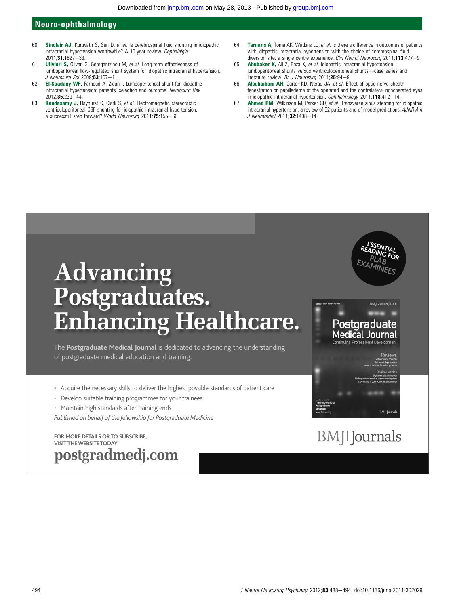#### Neuro-ophthalmology

- 60. Sinclair AJ, Kuruvath S, Sen D, et al. Is cerebrospinal fluid shunting in idiopathic intracranial hypertension worthwhile? A 10-year review. Cephalalgia 2011;31:1627-33.
- 61. Ulivieri S, Oliveri G, Georgantzinou M, et al. Long-term effectiveness of lumboperitoneal flow-regulated shunt system for idiopathic intracranial hypertension. J Neurosura Sci 2009: $53:107 - 11$ .
- 62. El-Saadany WF, Farhoud A, Zidan I. Lumboperitoneal shunt for idiopathic intracranial hypertension: patients' selection and outcome. Neurosurg Rev 2012;35:239-44
- 63. Kandasamy J, Hayhurst C, Clark S, et al. Electromagnetic stereotactic ventriculoperitoneal CSF shunting for idiopathic intracranial hypertension: a successful step forward? World Neurosurg 2011;75:155-60.
- 64. **Tarnaris A**, Toma AK, Watkins LD, et al. Is there a difference in outcomes of patients with idiopathic intracranial hypertension with the choice of cerebrospinal fluid diversion site: a single centre experience. Clin Neurol Neurosurg 2011;113:477-9.
- 65. Abubaker K, Ali Z, Raza K, et al. Idiopathic intracranial hypertension: lumboperitoneal shunts versus ventriculoperitoneal shunts-case series and literature review. Br J Neurosurg 2011;25:94-9.
- 66. Alsuhaibani AH, Carter KD, Nerad JA, et al. Effect of optic nerve sheath fenestration on papilledema of the operated and the contralateral nonoperated eyes in idiopathic intracranial hypertension. Ophthalmology 2011;118:412-14.
- 67. Ahmed RM, Wilkinson M, Parker GD, et al. Transverse sinus stenting for idiopathic intracranial hypertension: a review of 52 patients and of model predictions. AJNR Am  $J$  Neuroradiol 2011; 32:1408-14.

ESSENTIAL<br>ADINAL **READING FOR PLAB EXAMINEES**

**BMILK** 

Postgraduate **Medical Journal** 

**BMJI** Journals

# **Advancing Postgraduates. Enhancing Healthcare.**

The **Postgraduate Medical Journal** is dedicated to advancing the understanding of postgraduate medical education and training.

- Acquire the necessary skills to deliver the highest possible standards of patient care
- Develop suitable training programmes for your trainees
- Maintain high standards after training ends

*Published on behalf of the fellowship for Postgraduate Medicine*

**FOR MORE DETAILS OR TO SUBSCRIBE, VISIT THE WEBSITE TODAY postgradmedj.com**